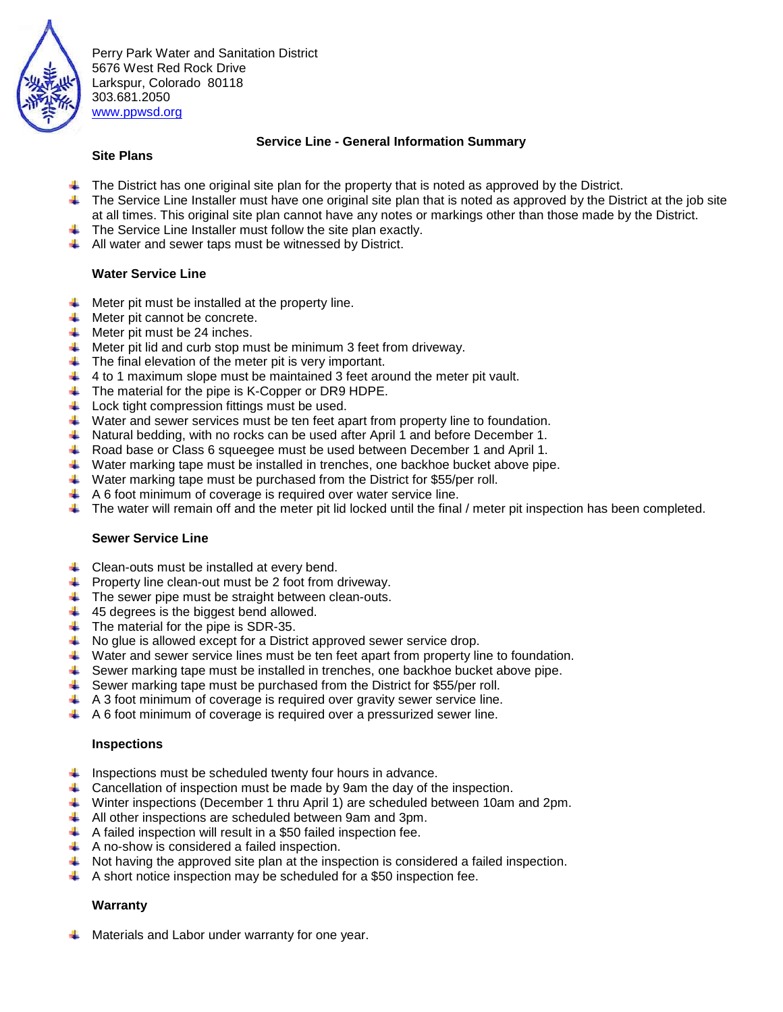

Perry Park Water and Sanitation District 5676 West Red Rock Drive Larkspur, Colorado 80118 303.681.2050 [www.ppwsd.org](http://www.ppwsd.org/)

### **Service Line - General Information Summary**

### **Site Plans**

- The District has one original site plan for the property that is noted as approved by the District.
- di l The Service Line Installer must have one original site plan that is noted as approved by the District at the job site at all times. This original site plan cannot have any notes or markings other than those made by the District.
- $\ddot{\phantom{1}}$  The Service Line Installer must follow the site plan exactly.
- $\downarrow$  All water and sewer taps must be witnessed by District.

### **Water Service Line**

- Meter pit must be installed at the property line. - 1
- $\overline{\phantom{a}}$  Meter pit cannot be concrete.
- $\bigstar$  Meter pit must be 24 inches.
- $\ddot{\phantom{1}}$  Meter pit lid and curb stop must be minimum 3 feet from driveway.
- $\ddot{\phantom{1}}$  The final elevation of the meter pit is very important.
- $\downarrow$  4 to 1 maximum slope must be maintained 3 feet around the meter pit vault.
- The material for the pipe is K-Copper or DR9 HDPE.
- $\overline{\phantom{a}}$  Lock tight compression fittings must be used.
- $\ddot{\bullet}$  Water and sewer services must be ten feet apart from property line to foundation.
- Natural bedding, with no rocks can be used after April 1 and before December 1.
- Road base or Class 6 squeegee must be used between December 1 and April 1.
- $\ddotplus$  Water marking tape must be installed in trenches, one backhoe bucket above pipe.
- $\ddot{\phantom{1}}$  Water marking tape must be purchased from the District for \$55/per roll.
- $\overline{+}$  A 6 foot minimum of coverage is required over water service line.
- $\blacksquare$  The water will remain off and the meter pit lid locked until the final / meter pit inspection has been completed.

#### **Sewer Service Line**

- $\downarrow$  Clean-outs must be installed at every bend.
- $\overline{\phantom{a}}$  Property line clean-out must be 2 foot from driveway.
- $\ddot{\phantom{1}}$  The sewer pipe must be straight between clean-outs.
- $\ddot{+}$  45 degrees is the biggest bend allowed.
- $\ddot{\bullet}$  The material for the pipe is SDR-35.
- $\frac{1}{2}$ No glue is allowed except for a District approved sewer service drop.
- $\ddot{\bullet}$  Water and sewer service lines must be ten feet apart from property line to foundation.
- Sewer marking tape must be installed in trenches, one backhoe bucket above pipe.
- $\ddot{\phantom{1}}$  Sewer marking tape must be purchased from the District for \$55/per roll.
- $\uparrow$  A 3 foot minimum of coverage is required over gravity sewer service line.
- $\uparrow$  A 6 foot minimum of coverage is required over a pressurized sewer line.

#### **Inspections**

- $\downarrow$  Inspections must be scheduled twenty four hours in advance.
- **L** Cancellation of inspection must be made by 9am the day of the inspection.
- Winter inspections (December 1 thru April 1) are scheduled between 10am and 2pm.
- All other inspections are scheduled between 9am and 3pm.
- $\uparrow$  A failed inspection will result in a \$50 failed inspection fee.
- $\uparrow$  A no-show is considered a failed inspection.
- $\blacktriangle$  Not having the approved site plan at the inspection is considered a failed inspection.
- $\uparrow$  A short notice inspection may be scheduled for a \$50 inspection fee.

# **Warranty**

Materials and Labor under warranty for one year.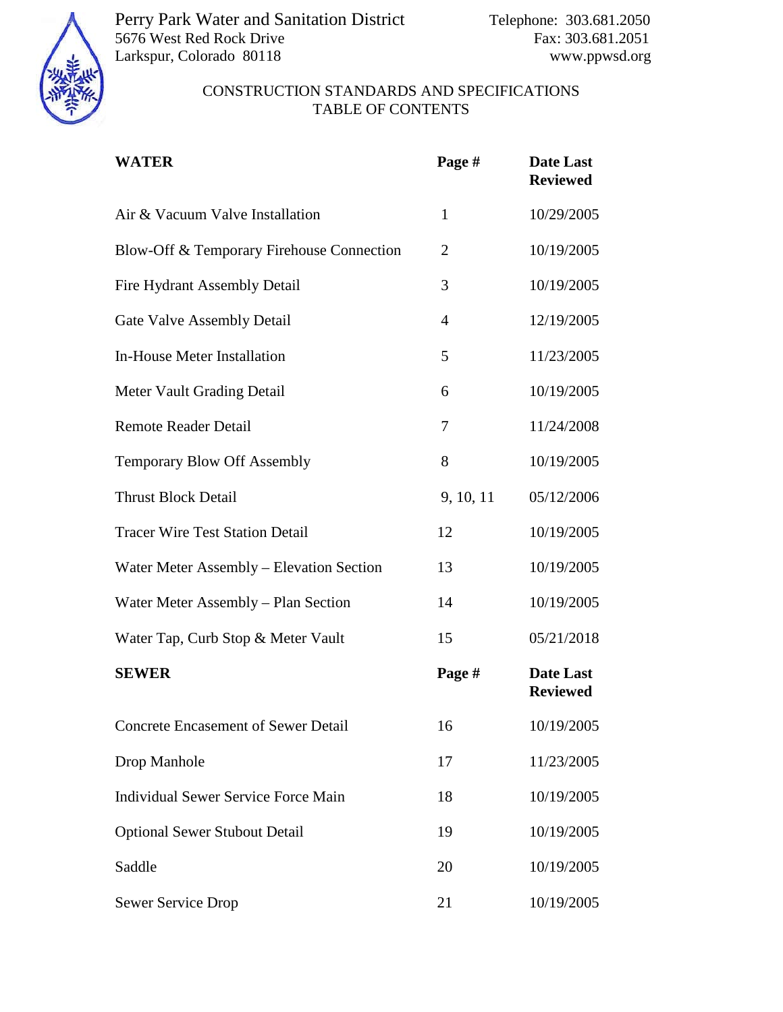

Perry Park Water and Sanitation District Telephone: 303.681.2050 5676 West Red Rock Drive Fax: 303.681.2051 Larkspur, Colorado 80118 www.ppwsd.org

# CONSTRUCTION STANDARDS AND SPECIFICATIONS TABLE OF CONTENTS

| <b>WATER</b>                               | Page #         | Date Last<br><b>Reviewed</b> |
|--------------------------------------------|----------------|------------------------------|
| Air & Vacuum Valve Installation            | $\mathbf{1}$   | 10/29/2005                   |
| Blow-Off & Temporary Firehouse Connection  | $\overline{2}$ | 10/19/2005                   |
| <b>Fire Hydrant Assembly Detail</b>        | 3              | 10/19/2005                   |
| <b>Gate Valve Assembly Detail</b>          | $\overline{4}$ | 12/19/2005                   |
| <b>In-House Meter Installation</b>         | 5              | 11/23/2005                   |
| Meter Vault Grading Detail                 | 6              | 10/19/2005                   |
| <b>Remote Reader Detail</b>                | 7              | 11/24/2008                   |
| <b>Temporary Blow Off Assembly</b>         | 8              | 10/19/2005                   |
| <b>Thrust Block Detail</b>                 | 9, 10, 11      | 05/12/2006                   |
| <b>Tracer Wire Test Station Detail</b>     | 12             | 10/19/2005                   |
| Water Meter Assembly - Elevation Section   | 13             | 10/19/2005                   |
| Water Meter Assembly - Plan Section        | 14             | 10/19/2005                   |
| Water Tap, Curb Stop & Meter Vault         | 15             | 05/21/2018                   |
| <b>SEWER</b>                               | Page #         | Date Last<br><b>Reviewed</b> |
| <b>Concrete Encasement of Sewer Detail</b> | 16             | 10/19/2005                   |
| Drop Manhole                               | 17             | 11/23/2005                   |
| <b>Individual Sewer Service Force Main</b> | 18             | 10/19/2005                   |
| <b>Optional Sewer Stubout Detail</b>       | 19             | 10/19/2005                   |
| Saddle                                     | 20             | 10/19/2005                   |
| <b>Sewer Service Drop</b>                  | 21             | 10/19/2005                   |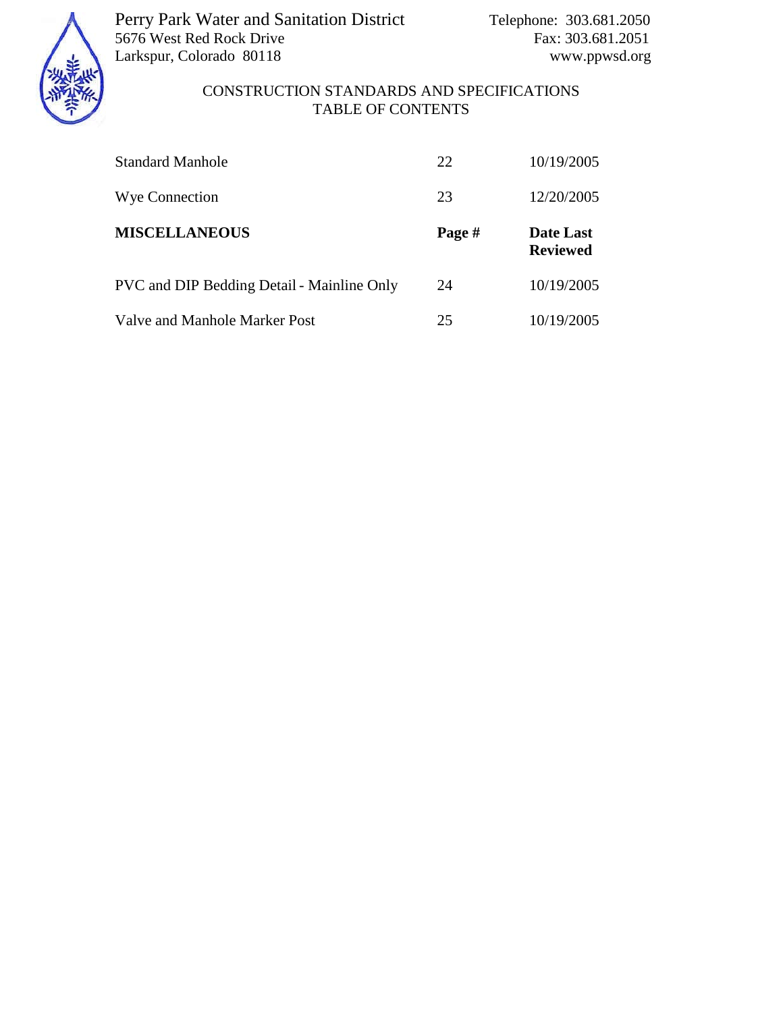

Perry Park Water and Sanitation District Telephone: 303.681.2050 5676 West Red Rock Drive Fax: 303.681.2051 Larkspur, Colorado 80118 www.ppwsd.org

# CONSTRUCTION STANDARDS AND SPECIFICATIONS TABLE OF CONTENTS

| <b>Standard Manhole</b>                           | 22     | 10/19/2005                          |
|---------------------------------------------------|--------|-------------------------------------|
| Wye Connection                                    | 23     | 12/20/2005                          |
| <b>MISCELLANEOUS</b>                              | Page # | <b>Date Last</b><br><b>Reviewed</b> |
| <b>PVC</b> and DIP Bedding Detail - Mainline Only | 24     | 10/19/2005                          |
| Valve and Manhole Marker Post                     | 25     | 10/19/2005                          |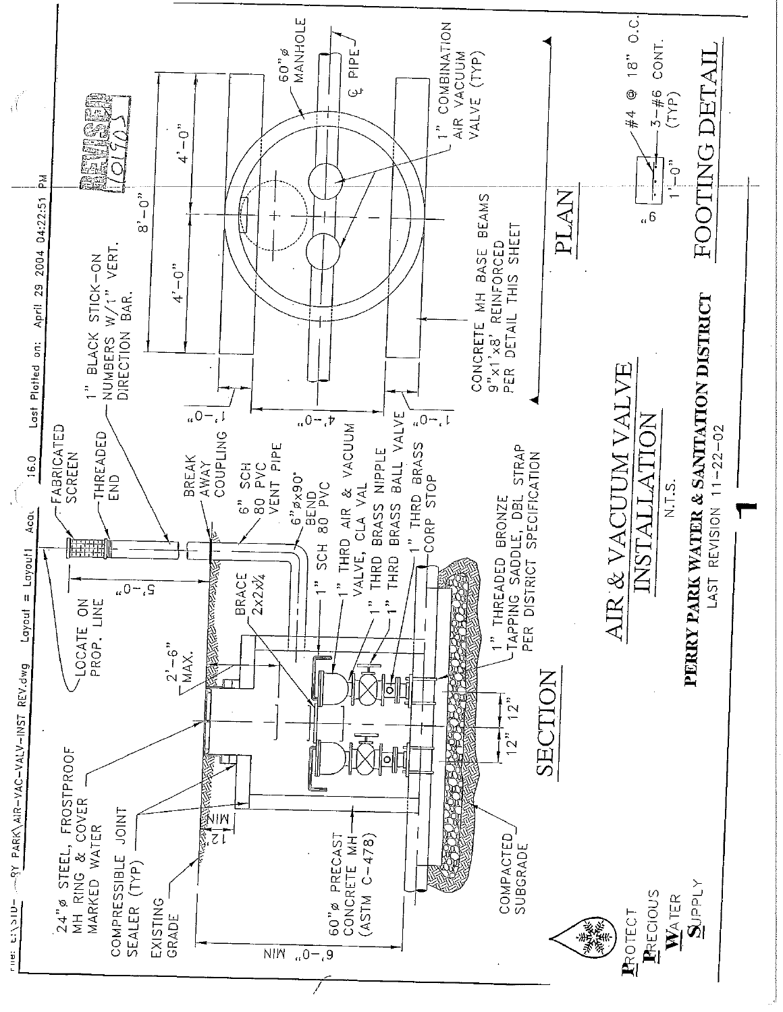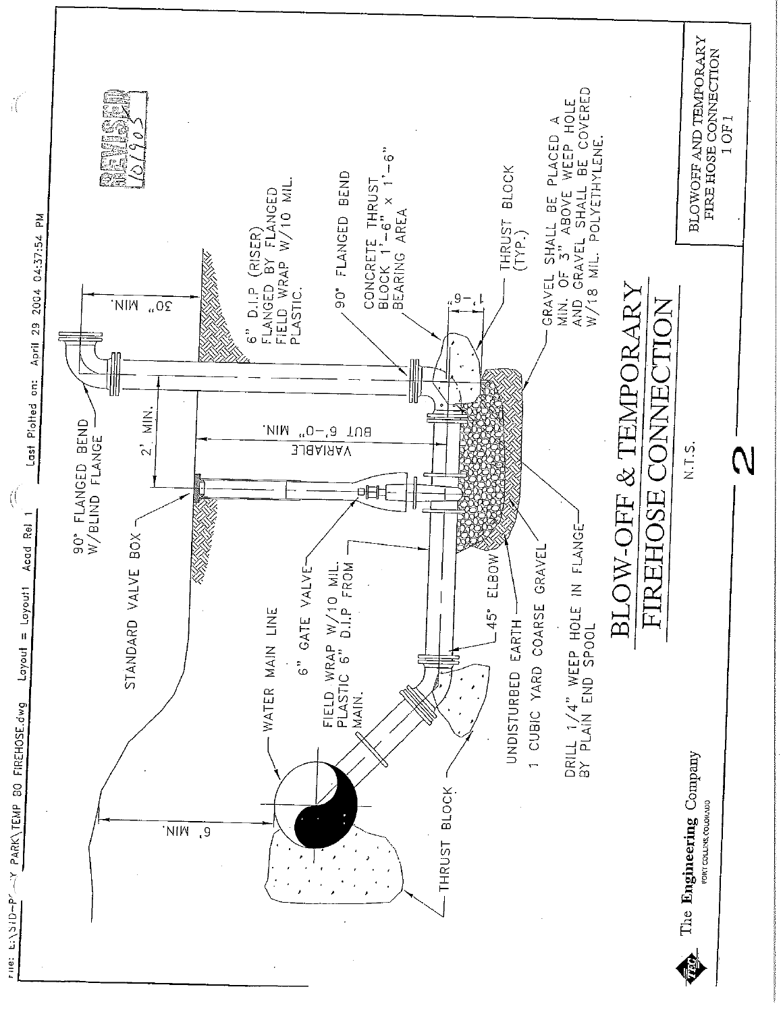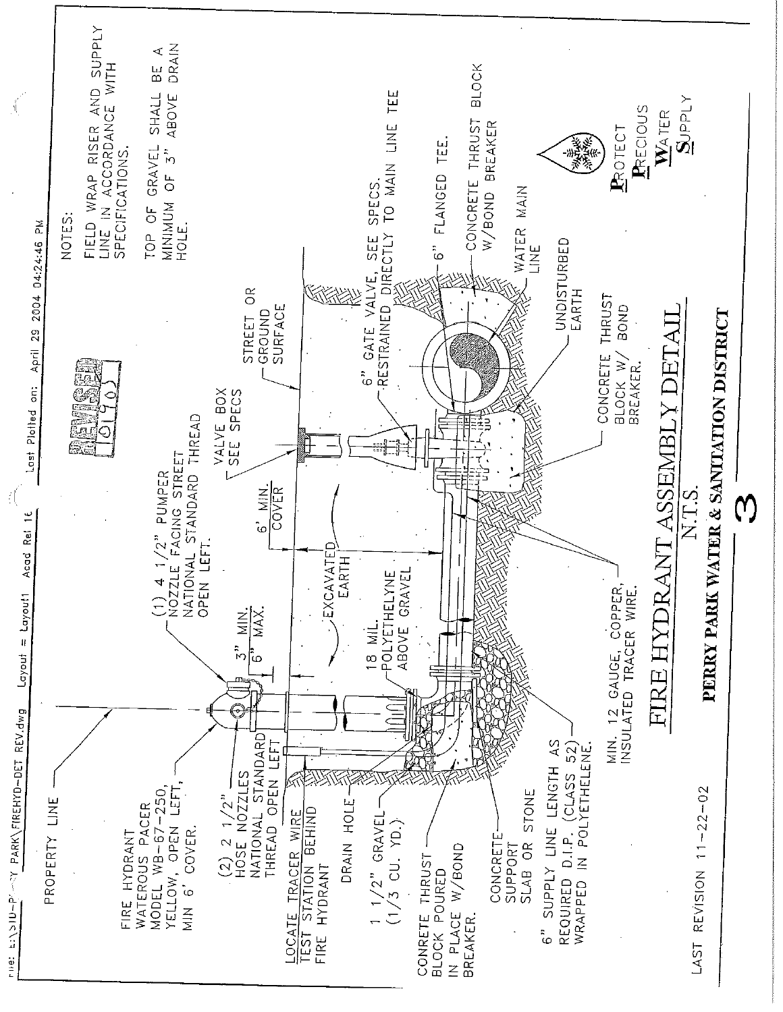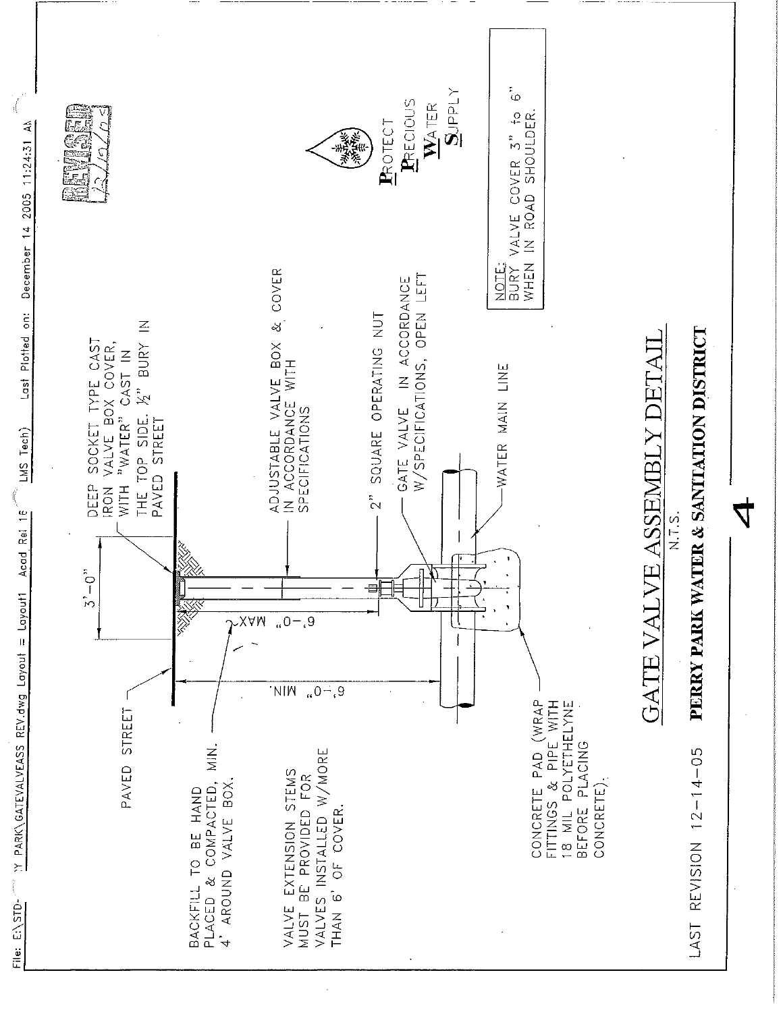

Y PARK\GATEVALVEASS REV.dwg Layout = Layout1 Acad Rei 16<sup>2</sup> LMS Tech)

File: E:\STD-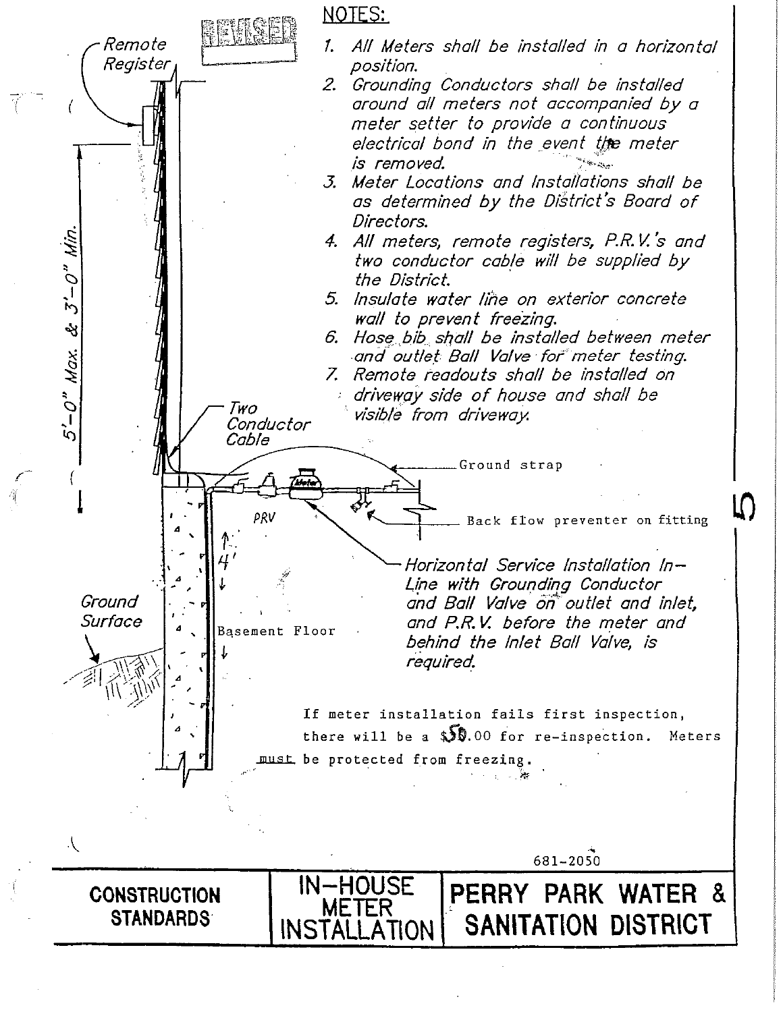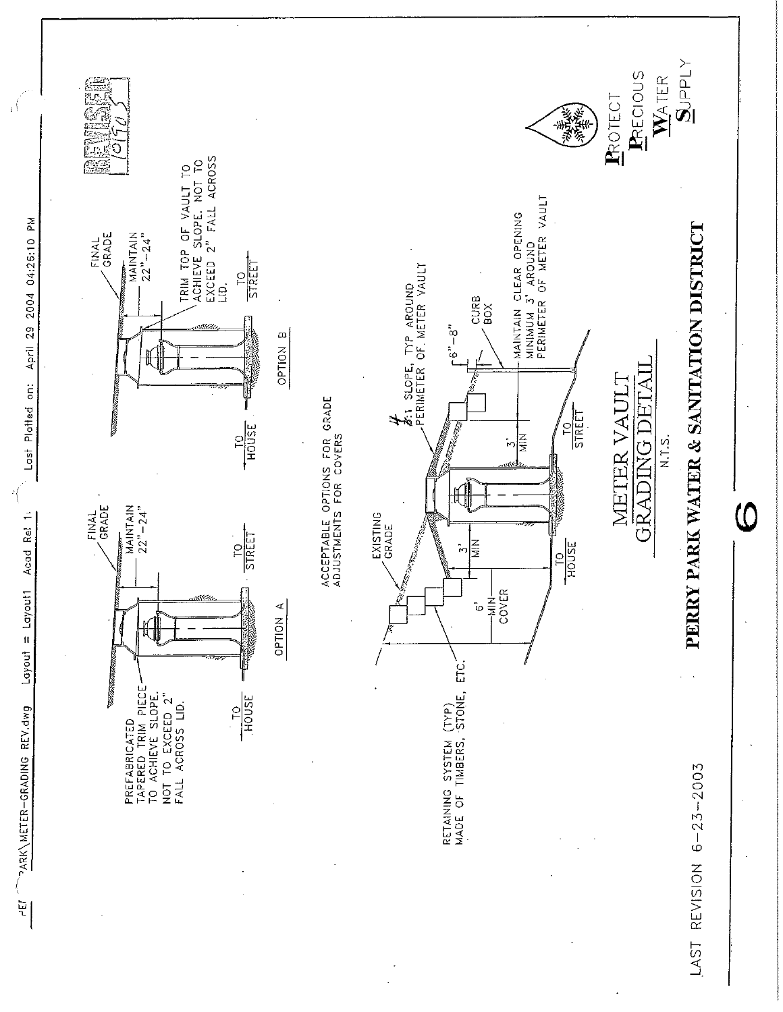

PARK\METER-GRADING REV.dwg

 $\mathbf{H}$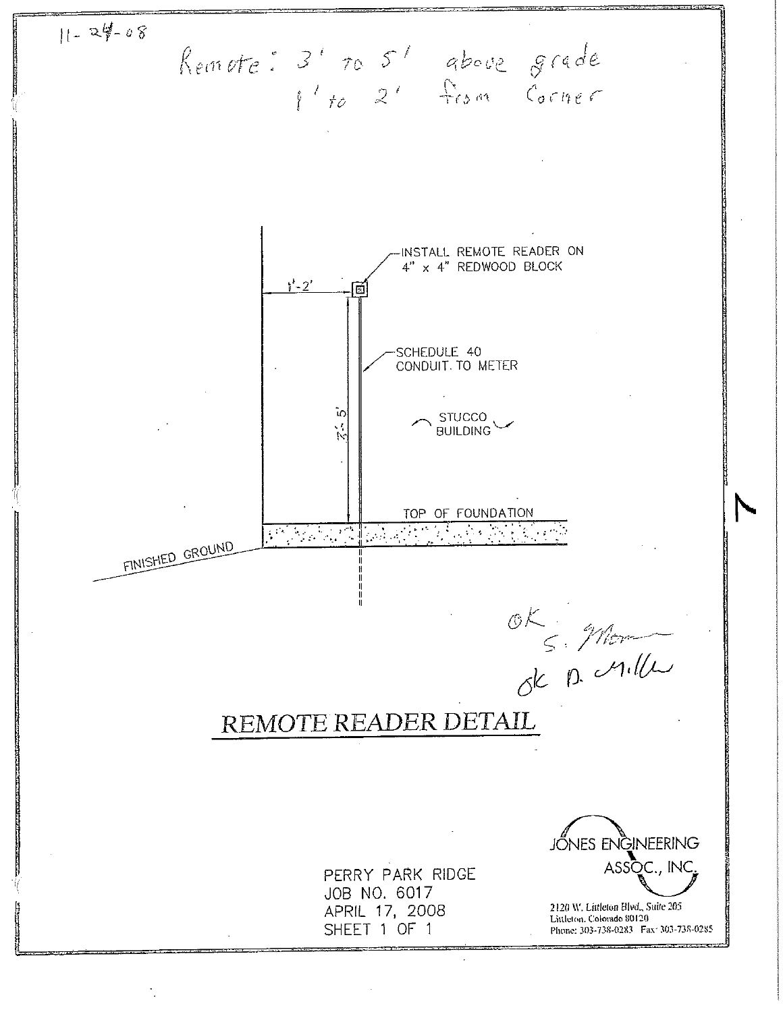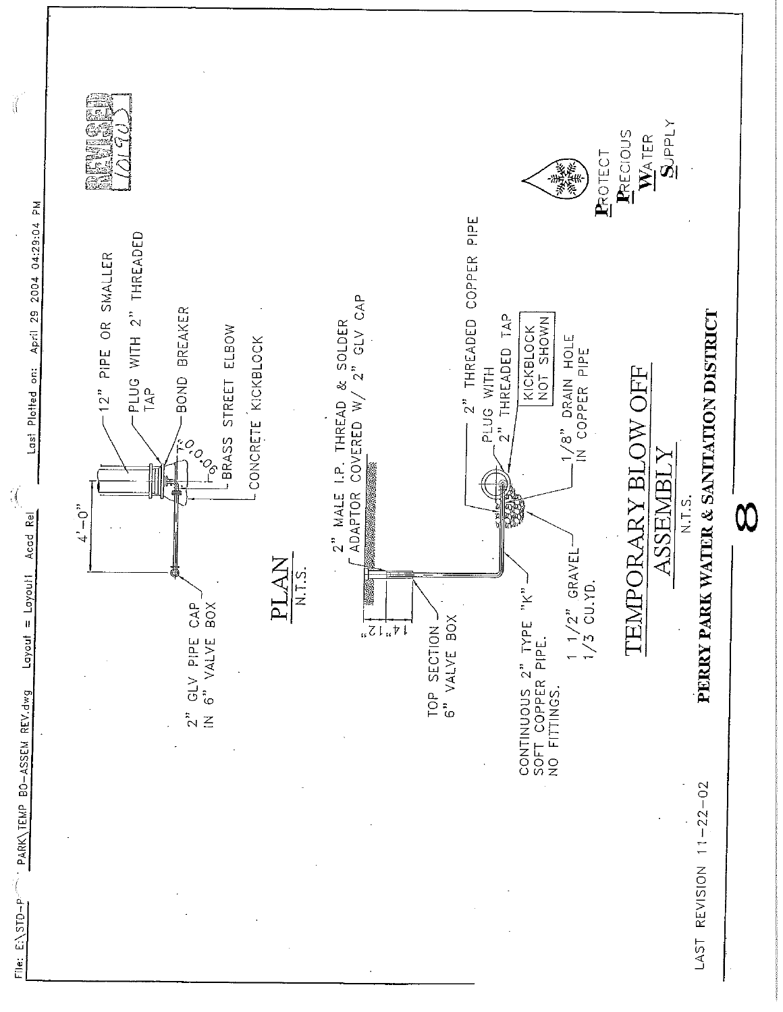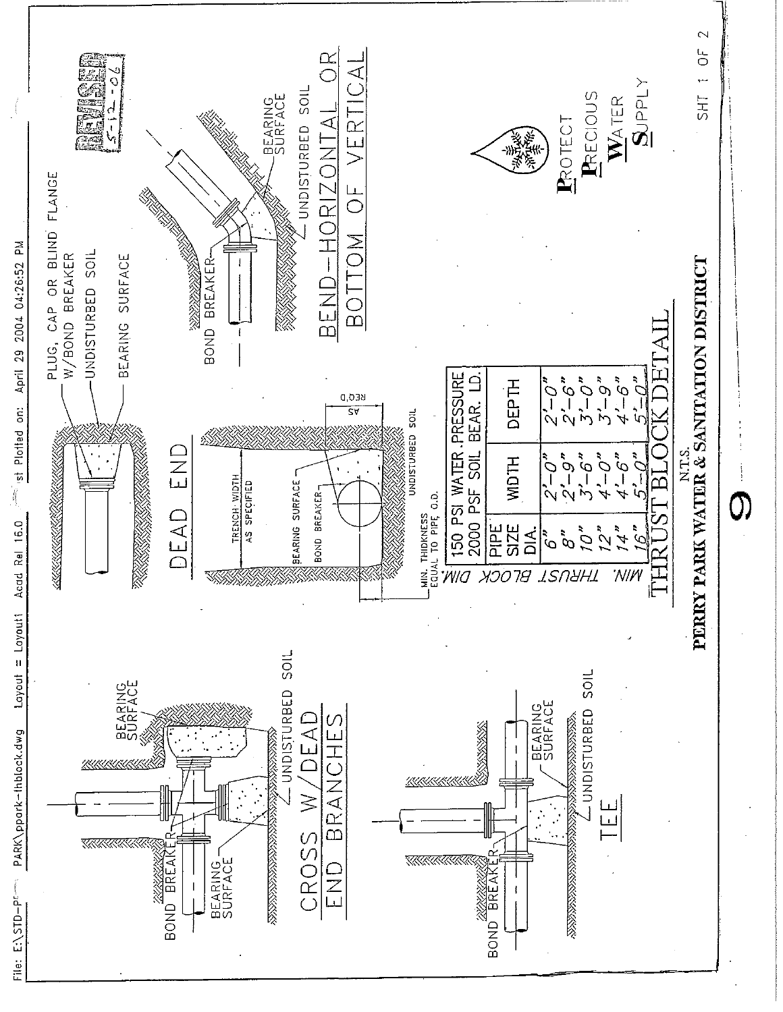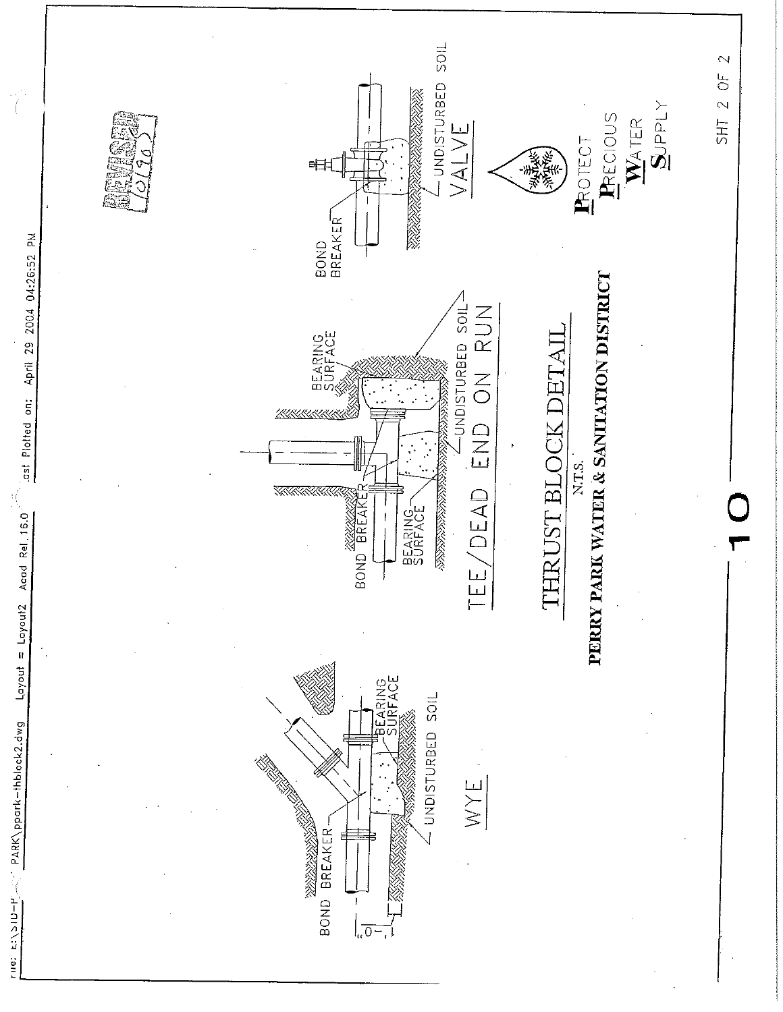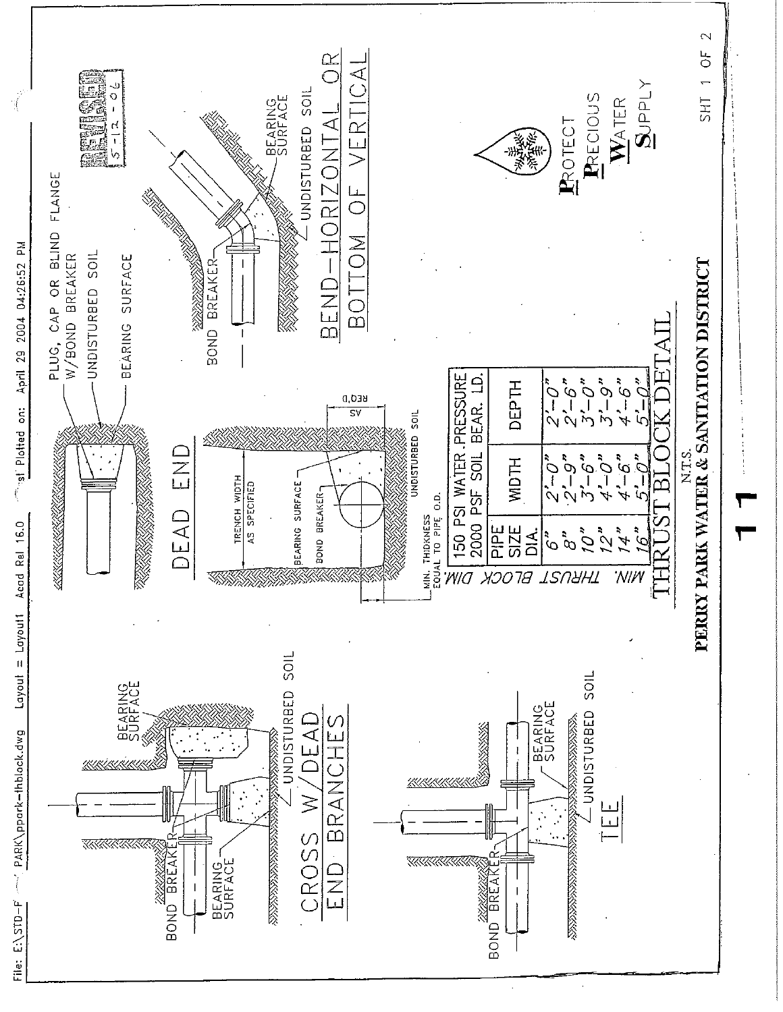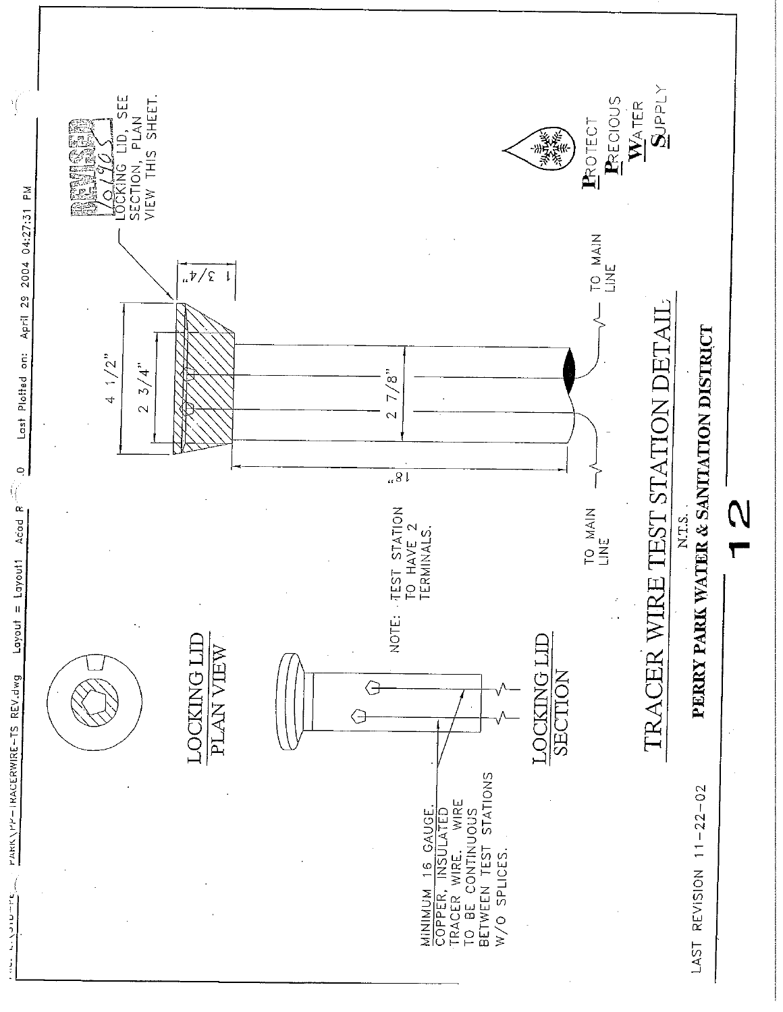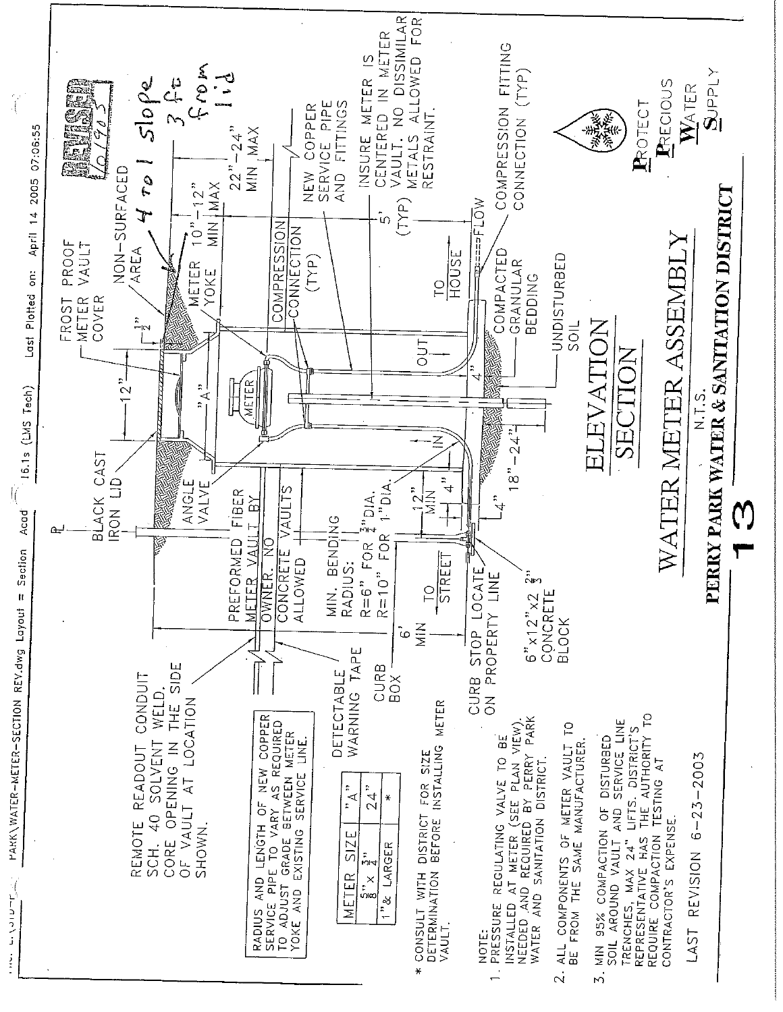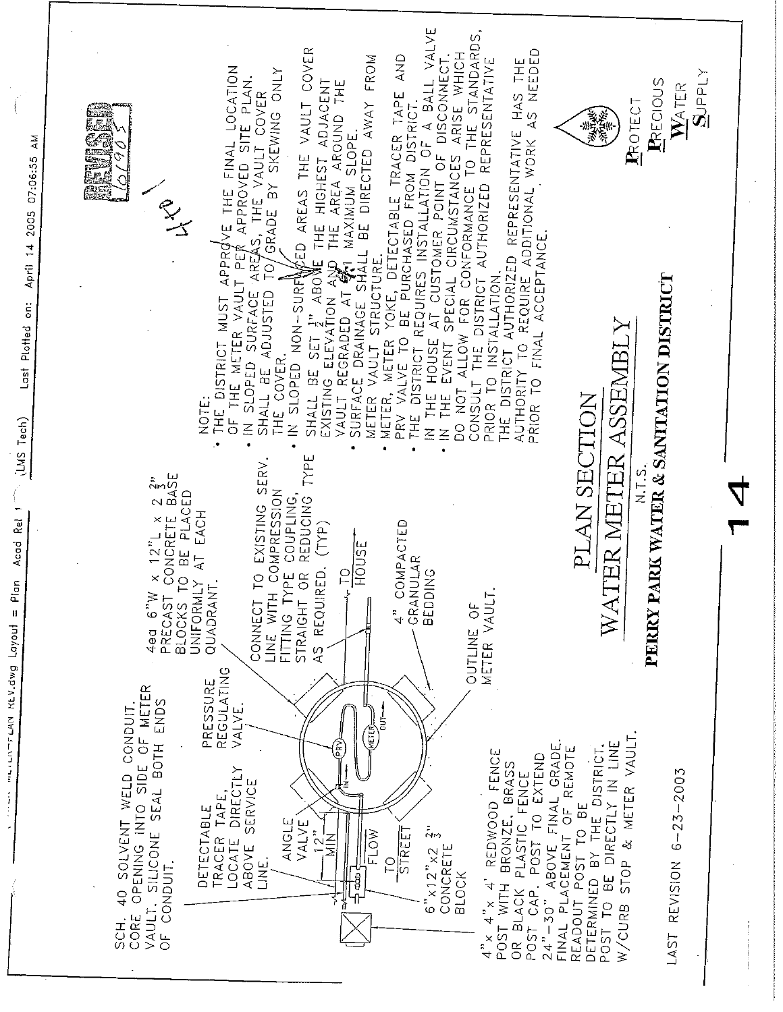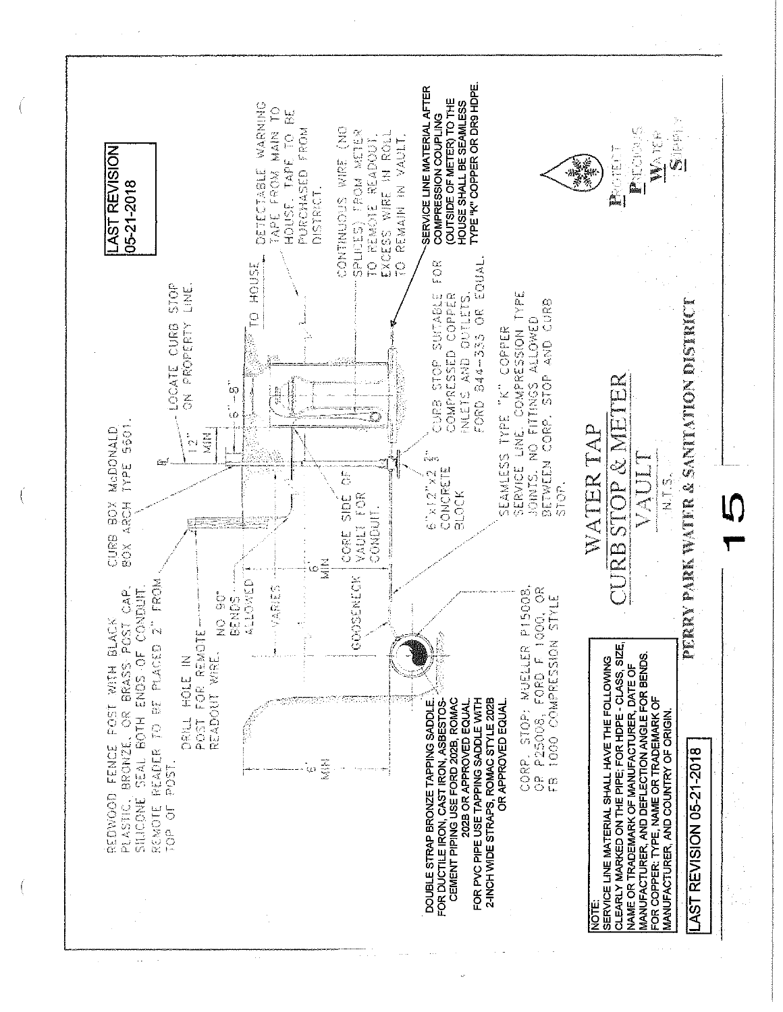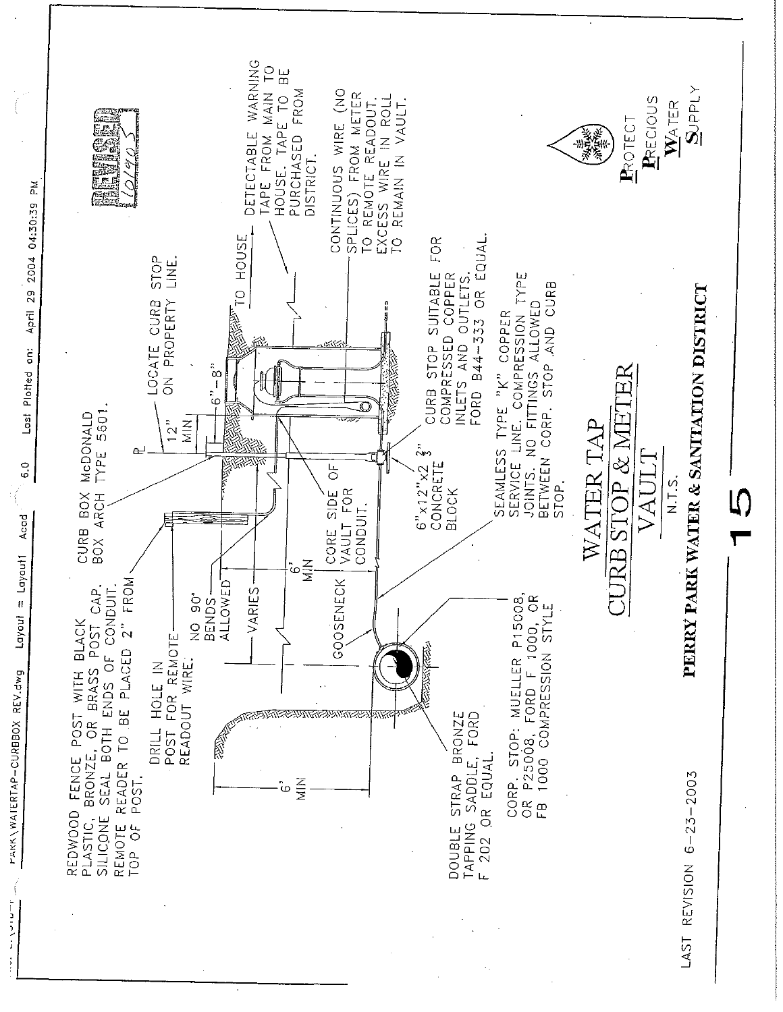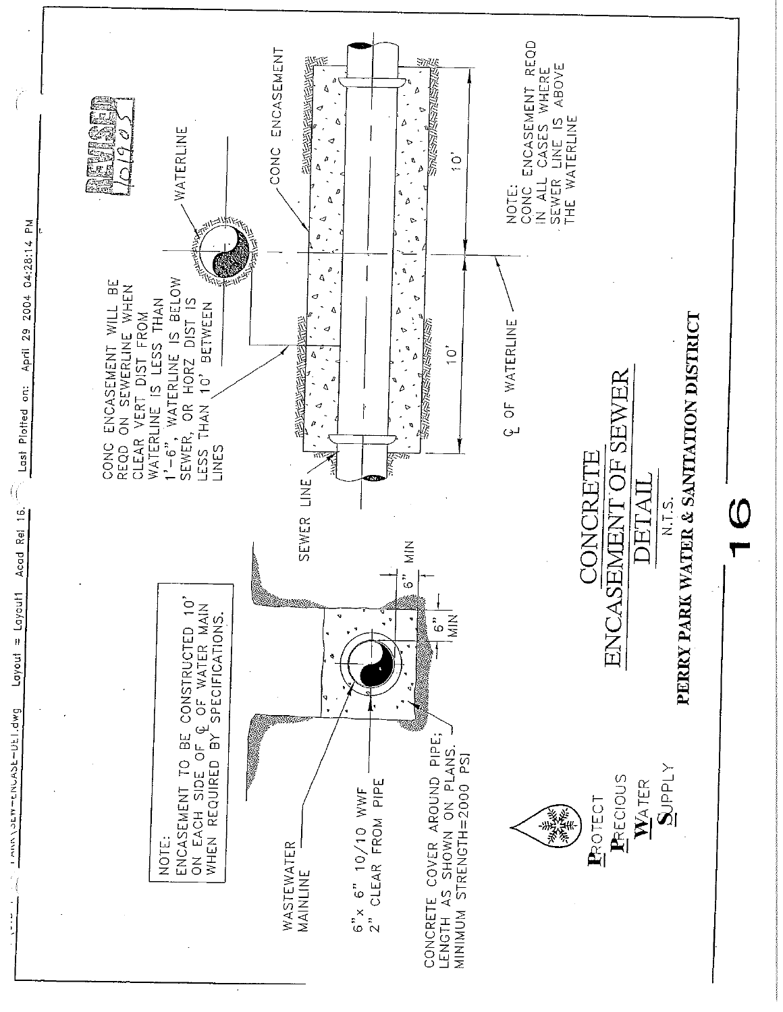

Layout = Layout1 Acad Rei 16. **DAD'ITIOTERATERATES**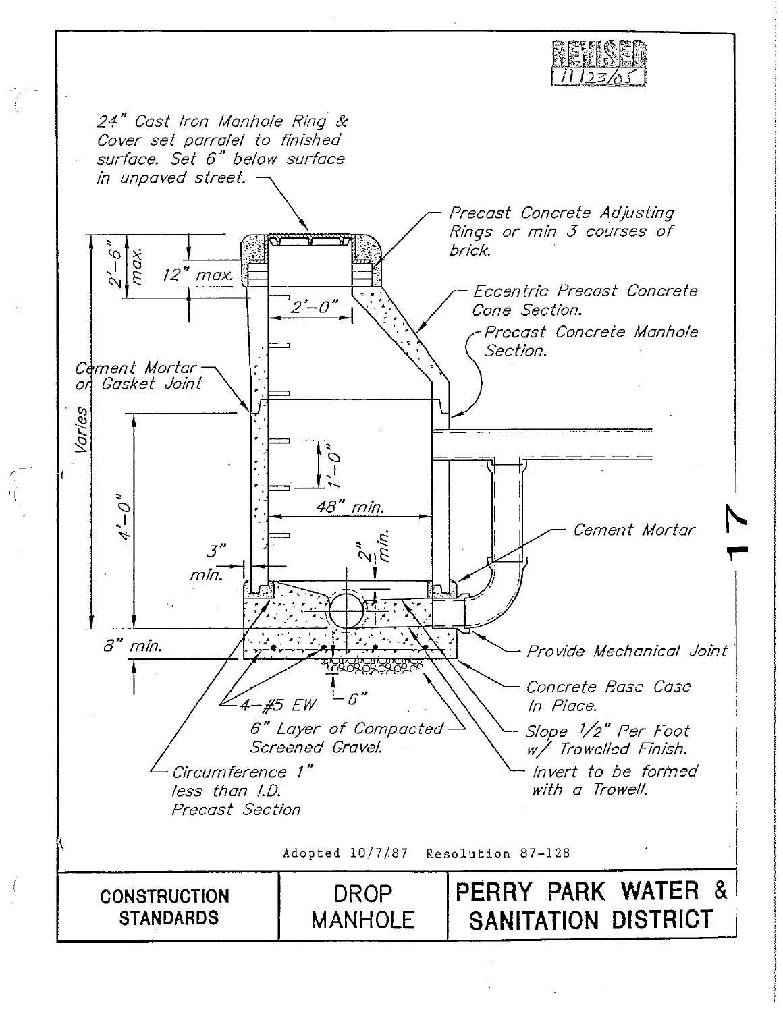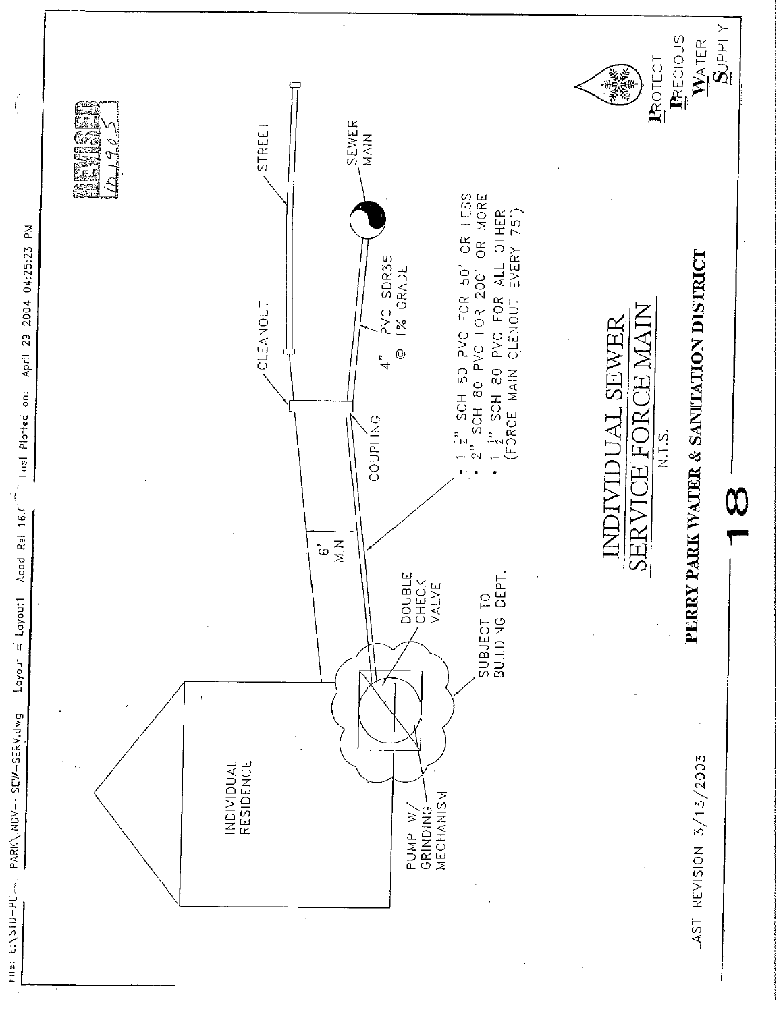

the: E:\SID-PE

PARK\INDV--SEW-SERV.dwg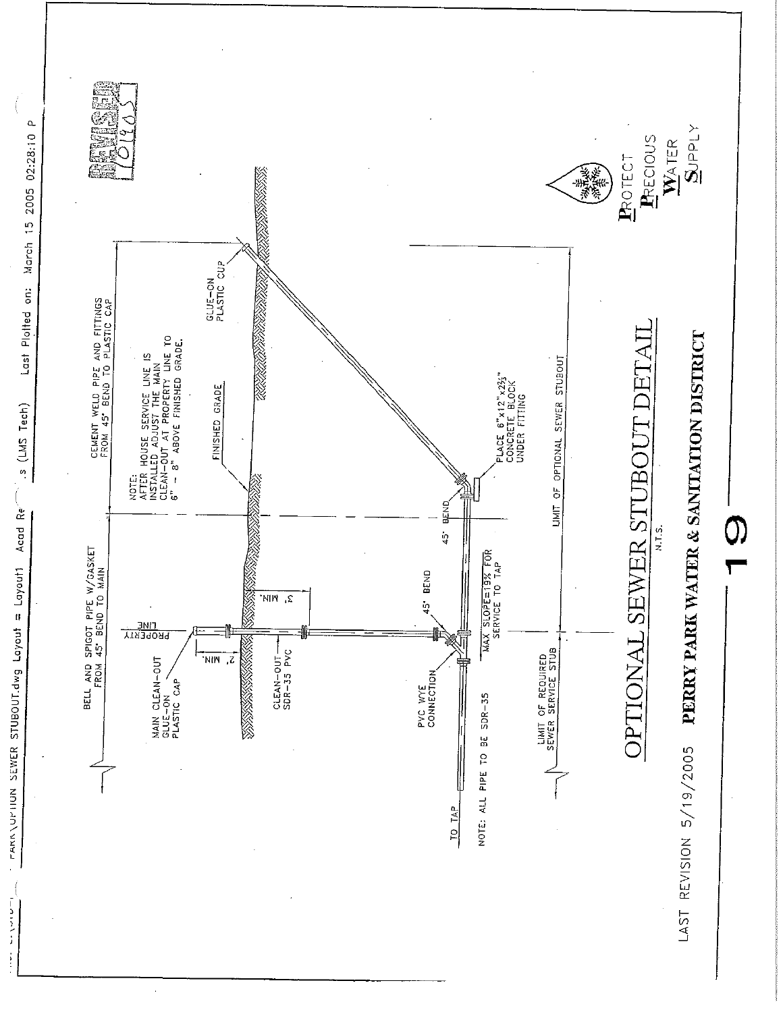

s (LMS Tech) Acad Re

Involution SEWER STUBOUT.dwg Loyout = Layout

 $\frac{1}{1-\alpha}$  ,  $\alpha$  ,  $\alpha$  ,  $\alpha$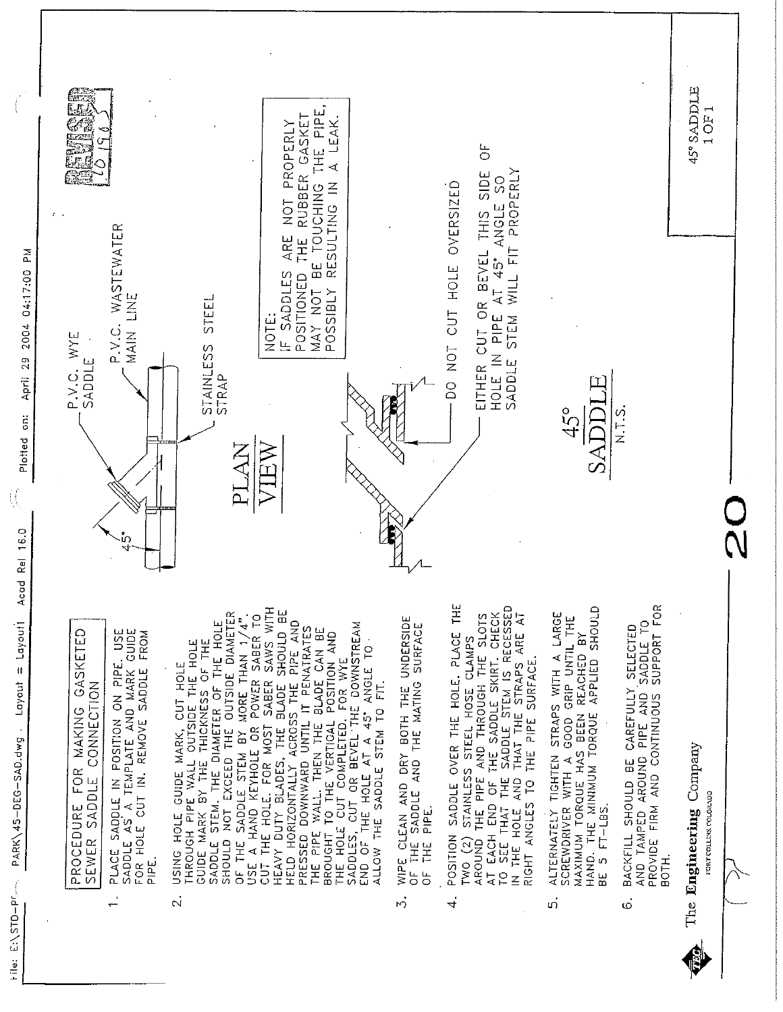

 $\ddot{ }$ 

 $\vec{r}$ 

 $\overline{5}$ 

 $\dot{\circ}$ 

Plotted on: April 29 2004 04:17:00 PM 

Acad Rel 16.0 PARK\45-DEG-SAD.dwg . Layout = Layouti Hile: E:\STD-Print

 $\overline{\mathcal{L}}$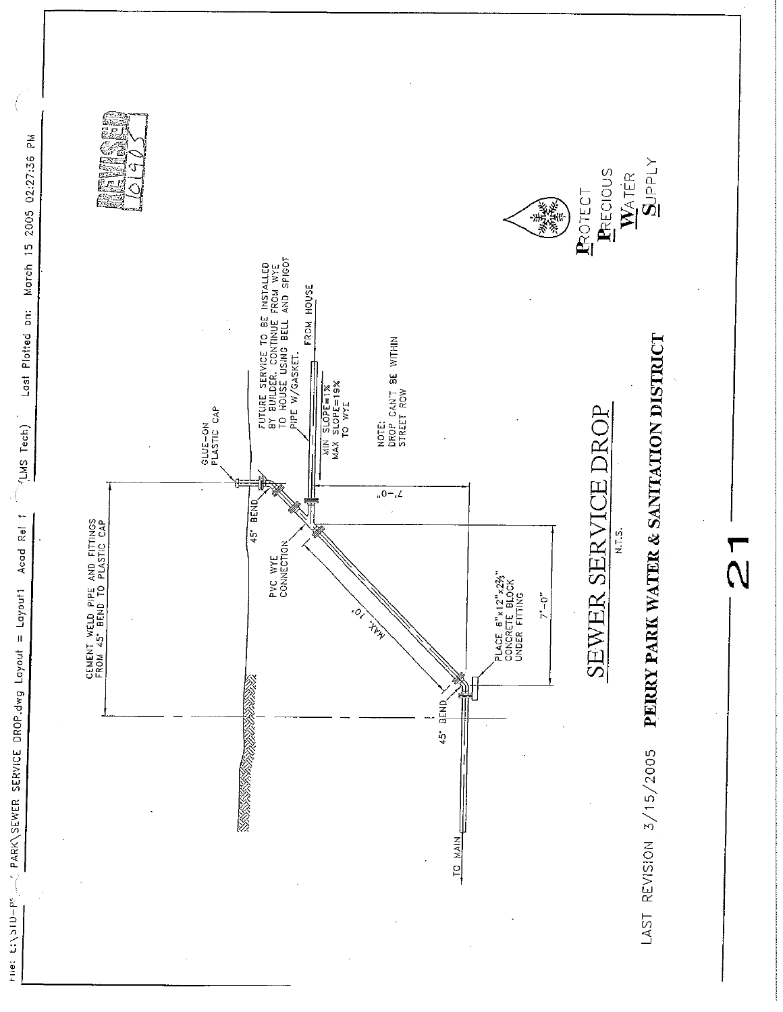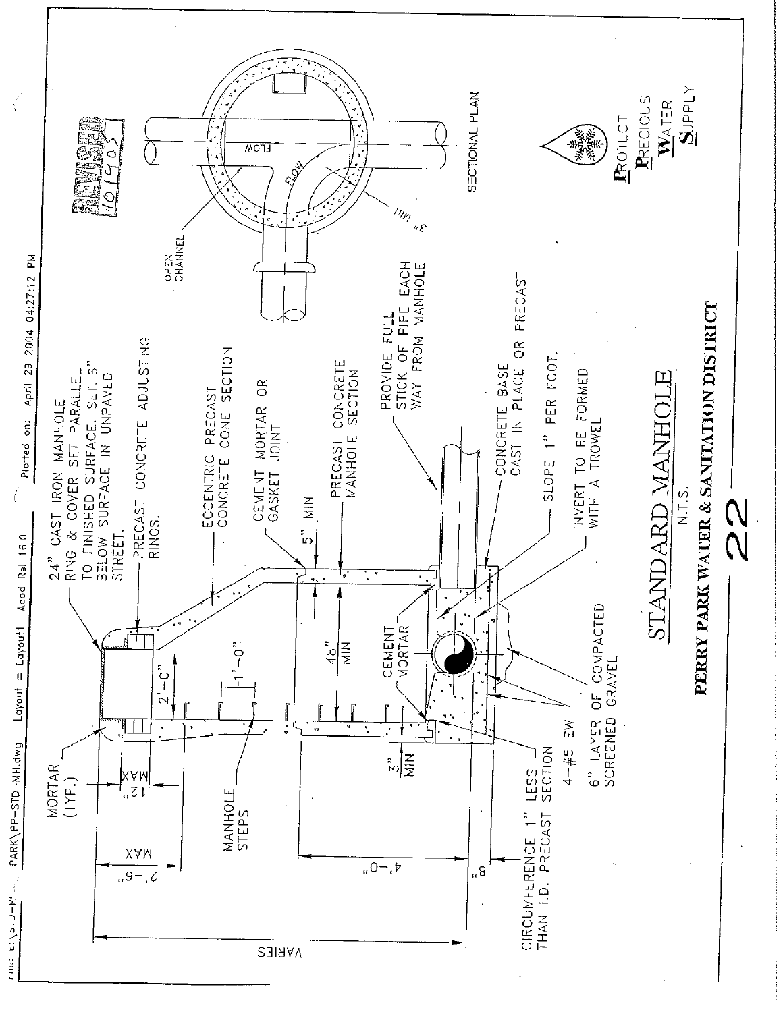

 $\left(\right)$ 

The Elysto-Plass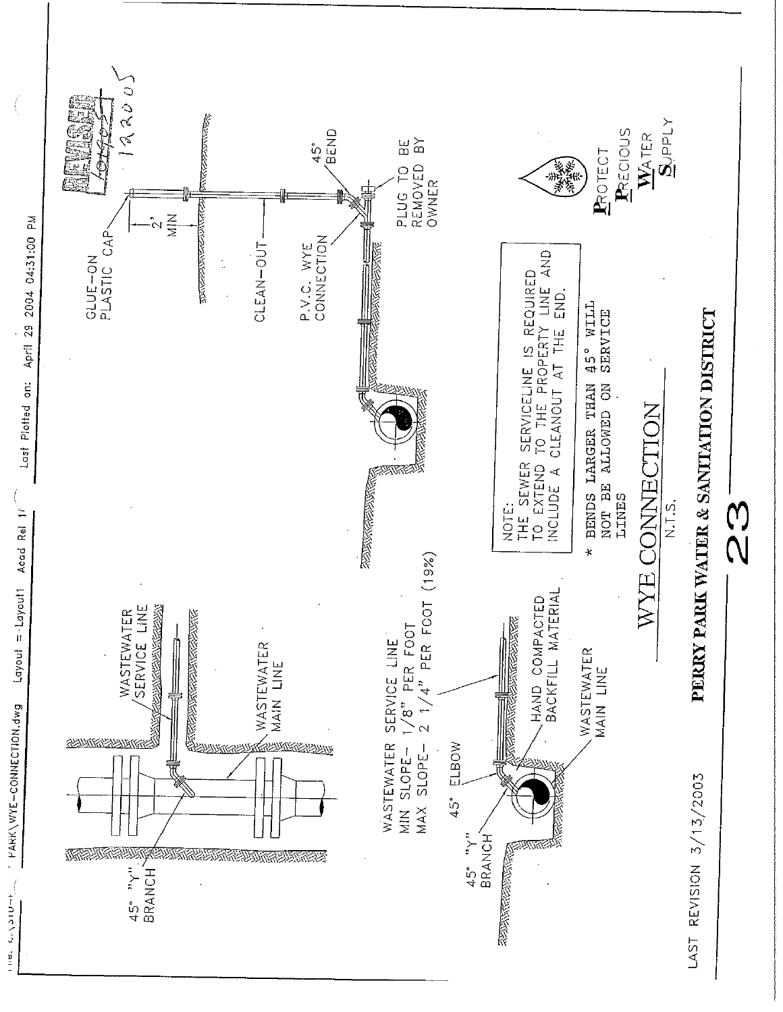

Layout = Layout Acad Rel  $1$ PARK\WYE-CONNECTION.dwg

Concerting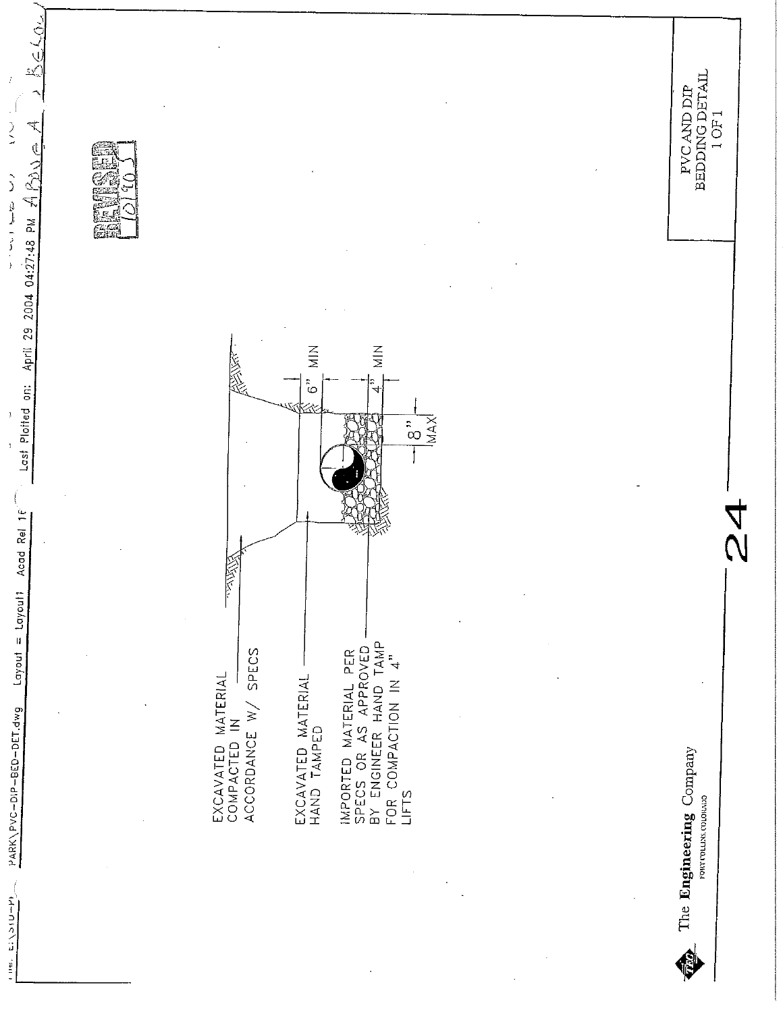